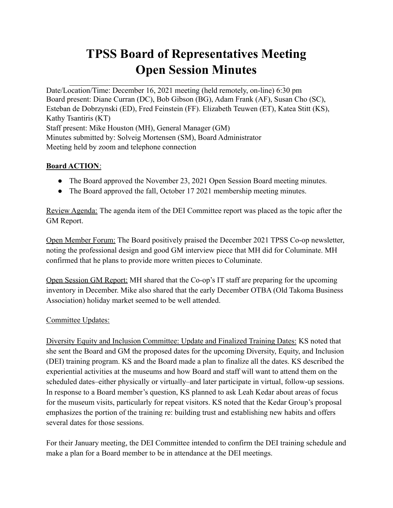## **TPSS Board of Representatives Meeting Open Session Minutes**

Date/Location/Time: December 16, 2021 meeting (held remotely, on-line) 6:30 pm Board present: Diane Curran (DC), Bob Gibson (BG), Adam Frank (AF), Susan Cho (SC), Esteban de Dobrzynski (ED), Fred Feinstein (FF). Elizabeth Teuwen (ET), Katea Stitt (KS), Kathy Tsantiris (KT) Staff present: Mike Houston (MH), General Manager (GM) Minutes submitted by: Solveig Mortensen (SM), Board Administrator Meeting held by zoom and telephone connection

 $\mathcal{L}_\text{max}$  , and the contribution of the contribution of the contribution of the contribution of the contribution of the contribution of the contribution of the contribution of the contribution of the contribution of t

## **Board ACTION**:

- The Board approved the November 23, 2021 Open Session Board meeting minutes.
- The Board approved the fall, October 17 2021 membership meeting minutes.

Review Agenda: The agenda item of the DEI Committee report was placed as the topic after the GM Report.

Open Member Forum: The Board positively praised the December 2021 TPSS Co-op newsletter, noting the professional design and good GM interview piece that MH did for Columinate. MH confirmed that he plans to provide more written pieces to Columinate.

Open Session GM Report: MH shared that the Co-op's IT staff are preparing for the upcoming inventory in December. Mike also shared that the early December OTBA (Old Takoma Business Association) holiday market seemed to be well attended.

## Committee Updates:

Diversity Equity and Inclusion Committee: Update and Finalized Training Dates: KS noted that she sent the Board and GM the proposed dates for the upcoming Diversity, Equity, and Inclusion (DEI) training program. KS and the Board made a plan to finalize all the dates. KS described the experiential activities at the museums and how Board and staff will want to attend them on the scheduled dates–either physically or virtually–and later participate in virtual, follow-up sessions. In response to a Board member's question, KS planned to ask Leah Kedar about areas of focus for the museum visits, particularly for repeat visitors. KS noted that the Kedar Group's proposal emphasizes the portion of the training re: building trust and establishing new habits and offers several dates for those sessions.

For their January meeting, the DEI Committee intended to confirm the DEI training schedule and make a plan for a Board member to be in attendance at the DEI meetings.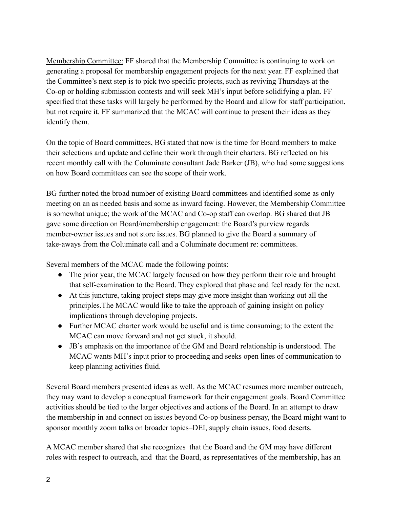Membership Committee: FF shared that the Membership Committee is continuing to work on generating a proposal for membership engagement projects for the next year. FF explained that the Committee's next step is to pick two specific projects, such as reviving Thursdays at the Co-op or holding submission contests and will seek MH's input before solidifying a plan. FF specified that these tasks will largely be performed by the Board and allow for staff participation, but not require it. FF summarized that the MCAC will continue to present their ideas as they identify them.

On the topic of Board committees, BG stated that now is the time for Board members to make their selections and update and define their work through their charters. BG reflected on his recent monthly call with the Columinate consultant Jade Barker (JB), who had some suggestions on how Board committees can see the scope of their work.

BG further noted the broad number of existing Board committees and identified some as only meeting on an as needed basis and some as inward facing. However, the Membership Committee is somewhat unique; the work of the MCAC and Co-op staff can overlap. BG shared that JB gave some direction on Board/membership engagement: the Board's purview regards member-owner issues and not store issues. BG planned to give the Board a summary of take-aways from the Columinate call and a Columinate document re: committees.

Several members of the MCAC made the following points:

- The prior year, the MCAC largely focused on how they perform their role and brought that self-examination to the Board. They explored that phase and feel ready for the next.
- At this juncture, taking project steps may give more insight than working out all the principles.The MCAC would like to take the approach of gaining insight on policy implications through developing projects.
- Further MCAC charter work would be useful and is time consuming; to the extent the MCAC can move forward and not get stuck, it should.
- JB's emphasis on the importance of the GM and Board relationship is understood. The MCAC wants MH's input prior to proceeding and seeks open lines of communication to keep planning activities fluid.

Several Board members presented ideas as well. As the MCAC resumes more member outreach, they may want to develop a conceptual framework for their engagement goals. Board Committee activities should be tied to the larger objectives and actions of the Board. In an attempt to draw the membership in and connect on issues beyond Co-op business persay, the Board might want to sponsor monthly zoom talks on broader topics–DEI, supply chain issues, food deserts.

A MCAC member shared that she recognizes that the Board and the GM may have different roles with respect to outreach, and that the Board, as representatives of the membership, has an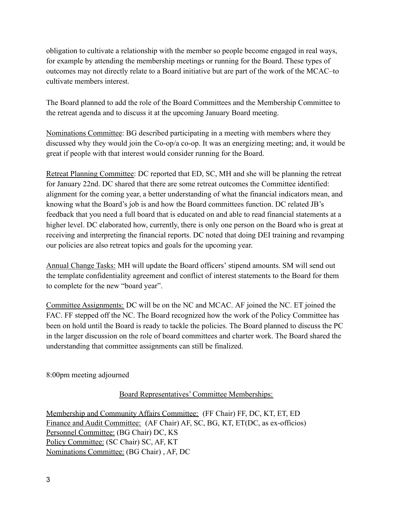obligation to cultivate a relationship with the member so people become engaged in real ways, for example by attending the membership meetings or running for the Board. These types of outcomes may not directly relate to a Board initiative but are part of the work of the MCAC–to cultivate members interest.

The Board planned to add the role of the Board Committees and the Membership Committee to the retreat agenda and to discuss it at the upcoming January Board meeting.

Nominations Committee: BG described participating in a meeting with members where they discussed why they would join the Co-op/a co-op. It was an energizing meeting; and, it would be great if people with that interest would consider running for the Board.

Retreat Planning Committee: DC reported that ED, SC, MH and she will be planning the retreat for January 22nd. DC shared that there are some retreat outcomes the Committee identified: alignment for the coming year, a better understanding of what the financial indicators mean, and knowing what the Board's job is and how the Board committees function. DC related JB's feedback that you need a full board that is educated on and able to read financial statements at a higher level. DC elaborated how, currently, there is only one person on the Board who is great at receiving and interpreting the financial reports. DC noted that doing DEI training and revamping our policies are also retreat topics and goals for the upcoming year.

Annual Change Tasks: MH will update the Board officers' stipend amounts. SM will send out the template confidentiality agreement and conflict of interest statements to the Board for them to complete for the new "board year".

Committee Assignments: DC will be on the NC and MCAC. AF joined the NC. ET joined the FAC. FF stepped off the NC. The Board recognized how the work of the Policy Committee has been on hold until the Board is ready to tackle the policies. The Board planned to discuss the PC in the larger discussion on the role of board committees and charter work. The Board shared the understanding that committee assignments can still be finalized.

8:00pm meeting adjourned

Board Representatives' Committee Memberships:

Membership and Community Affairs Committee: (FF Chair) FF, DC, KT, ET, ED Finance and Audit Committee: (AF Chair) AF, SC, BG, KT, ET(DC, as ex-officios) Personnel Committee: (BG Chair) DC, KS Policy Committee: (SC Chair) SC, AF, KT Nominations Committee: (BG Chair) , AF, DC